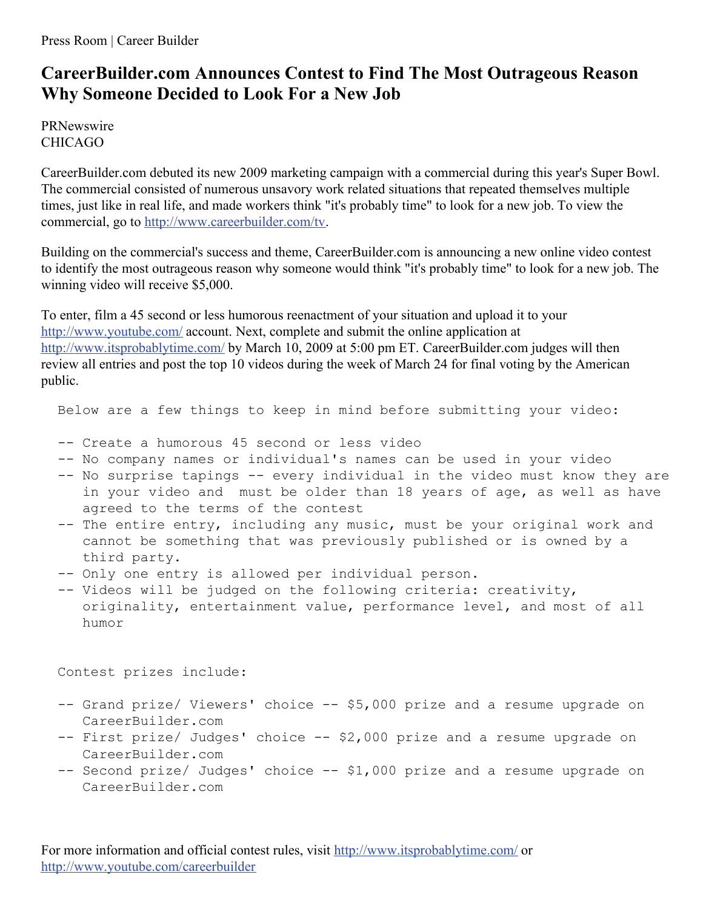Press Room | Career Builder

## **CareerBuilder.com Announces Contest to Find The Most Outrageous Reason Why Someone Decided to Look For a New Job**

PRNewswire CHICAGO

CareerBuilder.com debuted its new 2009 marketing campaign with a commercial during this year's Super Bowl. The commercial consisted of numerous unsavory work related situations that repeated themselves multiple times, just like in real life, and made workers think "it's probably time" to look for a new job. To view the commercial, go to <http://www.careerbuilder.com/tv>.

Building on the commercial's success and theme, CareerBuilder.com is announcing a new online video contest to identify the most outrageous reason why someone would think "it's probably time" to look for a new job. The winning video will receive \$5,000.

To enter, film a 45 second or less humorous reenactment of your situation and upload it to your <http://www.youtube.com/> account. Next, complete and submit the online application at <http://www.itsprobablytime.com/> by March 10, 2009 at 5:00 pm ET. CareerBuilder.com judges will then review all entries and post the top 10 videos during the week of March 24 for final voting by the American public.

Below are a few things to keep in mind before submitting your video:

- -- Create a humorous 45 second or less video
- -- No company names or individual's names can be used in your video
- -- No surprise tapings -- every individual in the video must know they are in your video and must be older than 18 years of age, as well as have agreed to the terms of the contest
- -- The entire entry, including any music, must be your original work and cannot be something that was previously published or is owned by a third party.
- -- Only one entry is allowed per individual person.
- -- Videos will be judged on the following criteria: creativity, originality, entertainment value, performance level, and most of all humor

Contest prizes include:

- -- Grand prize/ Viewers' choice -- \$5,000 prize and a resume upgrade on CareerBuilder.com
- -- First prize/ Judges' choice -- \$2,000 prize and a resume upgrade on CareerBuilder.com
- -- Second prize/ Judges' choice -- \$1,000 prize and a resume upgrade on CareerBuilder.com